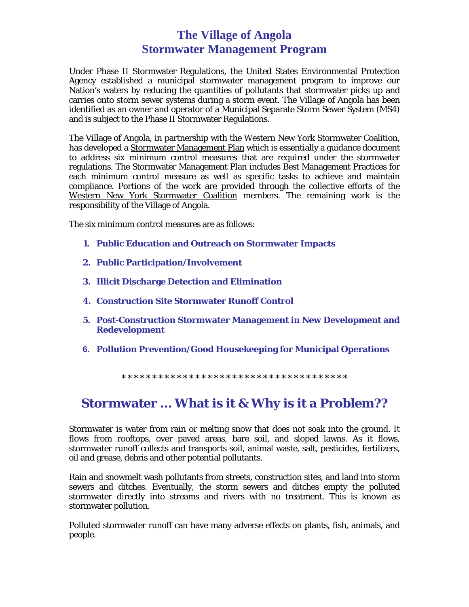## **The Village of Angola Stormwater Management Program**

Under Phase II Stormwater Regulations, the United States Environmental Protection Agency established a municipal stormwater management program to improve our Nation's waters by reducing the quantities of pollutants that stormwater picks up and carries onto storm sewer systems during a storm event. The Village of Angola has been identified as an owner and operator of a Municipal Separate Storm Sewer System (MS4) and is subject to the Phase II Stormwater Regulations.

The Village of Angola, in partnership with the Western New York Stormwater Coalition, has developed a Stormwater Management Plan which is essentially a guidance document to address six minimum control measures that are required under the stormwater regulations. The Stormwater Management Plan includes Best Management Practices for each minimum control measure as well as specific tasks to achieve and maintain compliance. Portions of the work are provided through the collective efforts of the Western New York Stormwater Coalition members. The remaining work is the responsibility of the Village of Angola.

The six minimum control measures are as follows:

- **1. Public Education and Outreach on Stormwater Impacts**
- **2. Public Participation/Involvement**
- **3. Illicit Discharge Detection and Elimination**
- **4. Construction Site Stormwater Runoff Control**
- **5. Post-Construction Stormwater Management in New Development and Redevelopment**
- **6. Pollution Prevention/Good Housekeeping for Municipal Operations**

**\* \* \* \* \* \* \* \* \* \* \* \* \* \* \* \* \* \* \* \* \* \* \* \* \* \* \* \* \* \* \* \* \* \* \* \* \*** 

## **Stormwater … What is it & Why is it a Problem??**

Stormwater is water from rain or melting snow that does not soak into the ground. It flows from rooftops, over paved areas, bare soil, and sloped lawns. As it flows, stormwater runoff collects and transports soil, animal waste, salt, pesticides, fertilizers, oil and grease, debris and other potential pollutants.

Rain and snowmelt wash pollutants from streets, construction sites, and land into storm sewers and ditches. Eventually, the storm sewers and ditches empty the polluted stormwater directly into streams and rivers with no treatment. This is known as stormwater pollution.

Polluted stormwater runoff can have many adverse effects on plants, fish, animals, and people.